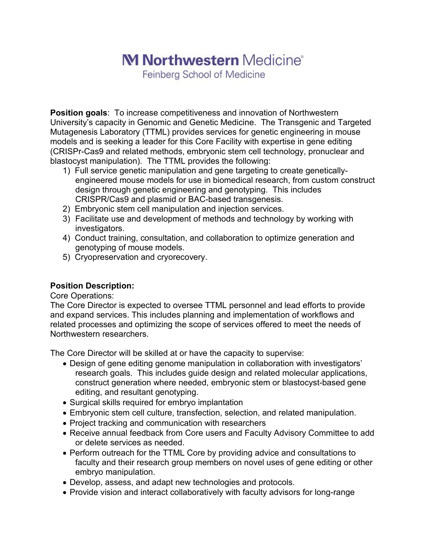## M Northwestern Medicine<sup>®</sup>

Feinberg School of Medicine

**Position goals**: To increase competitiveness and innovation of Northwestern University's capacity in Genomic and Genetic Medicine. The Transgenic and Targeted Mutagenesis Laboratory (TTML) provides services for genetic engineering in mouse models and is seeking a leader for this Core Facility with expertise in gene editing (CRISPr-Cas9 and related methods, embryonic stem cell technology, pronuclear and blastocyst manipulation). The TTML provides the following:

- 1) Full service genetic manipulation and gene targeting to create geneticallyengineered mouse models for use in biomedical research, from custom construct design through genetic engineering and genotyping. This includes CRISPR/Cas9 and plasmid or BAC-based transgenesis.
- 2) Embryonic stem cell manipulation and injection services.
- 3) Facilitate use and development of methods and technology by working with investigators.
- 4) Conduct training, consultation, and collaboration to optimize generation and genotyping of mouse models.
- 5) Cryopreservation and cryorecovery.

## **Position Description:**

Core Operations:

The Core Director is expected to oversee TTML personnel and lead efforts to provide and expand services. This includes planning and implementation of workflows and related processes and optimizing the scope of services offered to meet the needs of Northwestern researchers.

The Core Director will be skilled at or have the capacity to supervise:

- Design of gene editing genome manipulation in collaboration with investigators' research goals. This includes guide design and related molecular applications, construct generation where needed, embryonic stem or blastocyst-based gene editing, and resultant genotyping.
- Surgical skills required for embryo implantation
- Embryonic stem cell culture, transfection, selection, and related manipulation.
- Project tracking and communication with researchers
- Receive annual feedback from Core users and Faculty Advisory Committee to add or delete services as needed.
- Perform outreach for the TTML Core by providing advice and consultations to faculty and their research group members on novel uses of gene editing or other embryo manipulation.
- Develop, assess, and adapt new technologies and protocols.
- Provide vision and interact collaboratively with faculty advisors for long-range